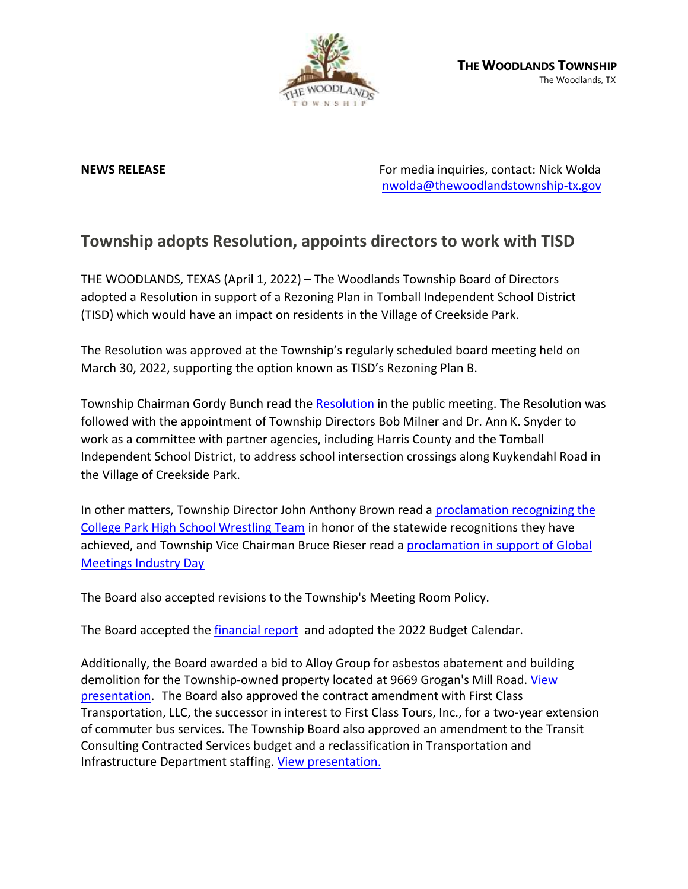

**NEWS RELEASE** For media inquiries, contact: Nick Wolda [nwolda@thewoodlandstownship-tx.gov](mailto:nwolda@thewoodlandstownship-tx.gov)

## **Township adopts Resolution, appoints directors to work with TISD**

THE WOODLANDS, TEXAS (April 1, 2022) – The Woodlands Township Board of Directors adopted a Resolution in support of a Rezoning Plan in Tomball Independent School District (TISD) which would have an impact on residents in the Village of Creekside Park.

The Resolution was approved at the Township's regularly scheduled board meeting held on March 30, 2022, supporting the option known as TISD's Rezoning Plan B.

Township Chairman Gordy Bunch read the [Resolution](https://www.thewoodlandstownship-tx.gov/DocumentCenter/View/16290/005-22_Resolution-Supporting-Tomball-ISD-The-Woodlands-Rezone-Plan-B_Approved-March-30-2022) in the public meeting. The Resolution was followed with the appointment of Township Directors Bob Milner and Dr. Ann K. Snyder to work as a committee with partner agencies, including Harris County and the Tomball Independent School District, to address school intersection crossings along Kuykendahl Road in the Village of Creekside Park.

In other matters, Township Director John Anthony Brown read a proclamation recognizing the [College Park High School Wrestling Team](https://destinyhosted.com/woodldocs/2022/BODREG/20220330_3857/5036_College_Park_Wrestling_State_Champions_3.30.22_rev.1_ca.pdf) in honor of the statewide recognitions they have achieved, and Township Vice Chairman Bruce Rieser read a [proclamation in support of Global](https://destinyhosted.com/woodldocs/2022/BODREG/20220330_3857/5038_GMID_2022_Proclamation_Final.pdf)  [Meetings Industry Day](https://destinyhosted.com/woodldocs/2022/BODREG/20220330_3857/5038_GMID_2022_Proclamation_Final.pdf)

The Board also accepted revisions to the Township's Meeting Room Policy.

The Board accepted the [financial report](https://www.thewoodlandstownship-tx.gov/ArchiveCenter/ViewFile/Item/12213) and adopted the 2022 Budget Calendar.

Additionally, the Board awarded a bid to Alloy Group for asbestos abatement and building demolition for the Township-owned property located at 9669 Grogan's Mill Road. View [presentation.](https://www.thewoodlandstownship-tx.gov/ArchiveCenter/ViewFile/Item/12211) The Board also approved the contract amendment with First Class Transportation, LLC, the successor in interest to First Class Tours, Inc., for a two-year extension of commuter bus services. The Township Board also approved an amendment to the Transit Consulting Contracted Services budget and a reclassification in Transportation and Infrastructure Department staffing. [View presentation.](https://www.thewoodlandstownship-tx.gov/ArchiveCenter/ViewFile/Item/12212)